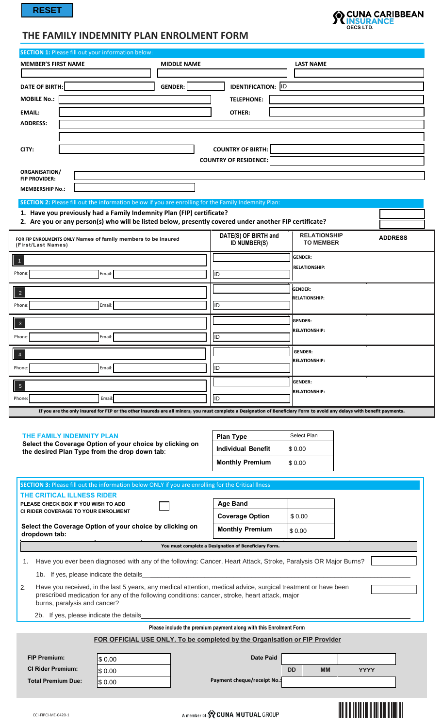$\begin{bmatrix} \phantom{-} \end{bmatrix}$ 



## **THE FAMILY INDEMNITY PLAN ENROLMENT FORM**

| <b>SECTION 1: Please fill out your information below:</b>                                          |                                         |                    |                                                                                                                                                                                                                  |                                         |                |
|----------------------------------------------------------------------------------------------------|-----------------------------------------|--------------------|------------------------------------------------------------------------------------------------------------------------------------------------------------------------------------------------------------------|-----------------------------------------|----------------|
| <b>MEMBER'S FIRST NAME</b>                                                                         |                                         | <b>MIDDLE NAME</b> |                                                                                                                                                                                                                  | <b>LAST NAME</b>                        |                |
|                                                                                                    |                                         |                    |                                                                                                                                                                                                                  |                                         |                |
| <b>DATE OF BIRTH:</b>                                                                              |                                         | <b>GENDER:</b>     | <b>IDENTIFICATION:</b> ID                                                                                                                                                                                        |                                         |                |
| <b>MOBILE No.:</b>                                                                                 |                                         |                    | <b>TELEPHONE:</b>                                                                                                                                                                                                |                                         |                |
| <b>EMAIL:</b>                                                                                      |                                         |                    | OTHER:                                                                                                                                                                                                           |                                         |                |
| <b>ADDRESS:</b>                                                                                    |                                         |                    |                                                                                                                                                                                                                  |                                         |                |
|                                                                                                    |                                         |                    |                                                                                                                                                                                                                  |                                         |                |
| CITY:                                                                                              |                                         |                    | <b>COUNTRY OF BIRTH:</b>                                                                                                                                                                                         |                                         |                |
|                                                                                                    |                                         |                    | <b>COUNTRY OF RESIDENCE:</b>                                                                                                                                                                                     |                                         |                |
| ORGANISATION/                                                                                      |                                         |                    |                                                                                                                                                                                                                  |                                         |                |
| <b>FIP PROVIDER:</b>                                                                               |                                         |                    |                                                                                                                                                                                                                  |                                         |                |
| <b>MEMBERSHIP No.:</b>                                                                             |                                         |                    |                                                                                                                                                                                                                  |                                         |                |
|                                                                                                    |                                         |                    | SECTION 2: Please fill out the information below if you are enrolling for the Family Indemnity Plan:                                                                                                             |                                         |                |
| 1. Have you previously had a Family Indemnity Plan (FIP) certificate?                              |                                         |                    | 2. Are you or any person(s) who will be listed below, presently covered under another FIP certificate?                                                                                                           |                                         |                |
| FOR FIP ENROLMENTS ONLY Names of family members to be insured<br>(First/Last Names)                |                                         |                    | DATE(S) OF BIRTH and<br><b>ID NUMBER(S)</b>                                                                                                                                                                      | <b>RELATIONSHIP</b><br><b>TO MEMBER</b> | <b>ADDRESS</b> |
|                                                                                                    |                                         |                    |                                                                                                                                                                                                                  | <b>GENDER:</b>                          |                |
| $\mathbf{1}$                                                                                       |                                         |                    |                                                                                                                                                                                                                  | <b>RELATIONSHIP:</b>                    |                |
| Phone:                                                                                             | Email:                                  |                    | ID)                                                                                                                                                                                                              |                                         |                |
| $\overline{c}$                                                                                     |                                         |                    |                                                                                                                                                                                                                  | <b>GENDER:</b>                          |                |
| Phone:                                                                                             | Email:                                  |                    | IID.                                                                                                                                                                                                             | <b>RELATIONSHIP:</b>                    |                |
|                                                                                                    |                                         |                    |                                                                                                                                                                                                                  |                                         |                |
| $\overline{3}$                                                                                     |                                         |                    |                                                                                                                                                                                                                  | <b>GENDER:</b><br><b>RELATIONSHIP:</b>  |                |
| Phone:                                                                                             | Email:                                  |                    | ID)                                                                                                                                                                                                              |                                         |                |
| $\overline{4}$                                                                                     |                                         |                    |                                                                                                                                                                                                                  | <b>GENDER:</b>                          |                |
| Phone:                                                                                             | Email:                                  |                    | ID                                                                                                                                                                                                               | <b>RELATIONSHIP:</b>                    |                |
|                                                                                                    |                                         |                    |                                                                                                                                                                                                                  |                                         |                |
| $\overline{5}$                                                                                     |                                         |                    |                                                                                                                                                                                                                  | <b>GENDER:</b><br><b>RELATIONSHIP:</b>  |                |
| Phone:                                                                                             | Email:                                  |                    | ID                                                                                                                                                                                                               |                                         |                |
|                                                                                                    |                                         |                    | If you are the only insured for FIP or the other insureds are all minors, you must complete a Designation of Beneficiary Form to avoid any delays with benefit payments.                                         |                                         |                |
|                                                                                                    |                                         |                    |                                                                                                                                                                                                                  |                                         |                |
| THE FAMILY INDEMNITY PLAN<br>Select the Coverage Option of your choice by clicking on              |                                         |                    | <b>Plan Type</b>                                                                                                                                                                                                 | Select Plan                             |                |
| the desired Plan Type from the drop down tab:                                                      |                                         |                    | <b>Individual Benefit</b>                                                                                                                                                                                        | \$0.00                                  |                |
|                                                                                                    |                                         |                    | <b>Monthly Premium</b>                                                                                                                                                                                           | \$0.00                                  |                |
|                                                                                                    |                                         |                    |                                                                                                                                                                                                                  |                                         |                |
| SECTION 3: Please fill out the information below ONLY if you are enrolling for the Critical liness |                                         |                    |                                                                                                                                                                                                                  |                                         |                |
| THE CRITICAL ILLNESS RIDER<br>PLEASE CHECK BOX IF YOU WISH TO ADD                                  |                                         |                    | <b>Age Band</b>                                                                                                                                                                                                  |                                         |                |
| CI RIDER COVERAGE TO YOUR ENROLMENT                                                                |                                         |                    | <b>Coverage Option</b>                                                                                                                                                                                           | \$0.00                                  |                |
| Select the Coverage Option of your choice by clicking on                                           |                                         |                    | <b>Monthly Premium</b>                                                                                                                                                                                           | \$0.00                                  |                |
| dropdown tab:                                                                                      |                                         |                    |                                                                                                                                                                                                                  |                                         |                |
|                                                                                                    |                                         |                    | You must complete a Designation of Beneficiary Form.                                                                                                                                                             |                                         |                |
| 1.                                                                                                 |                                         |                    | Have you ever been diagnosed with any of the following: Cancer, Heart Attack, Stroke, Paralysis OR Major Burns?                                                                                                  |                                         |                |
|                                                                                                    | 1b. If yes, please indicate the details |                    |                                                                                                                                                                                                                  |                                         |                |
| 2.<br>burns, paralysis and cancer?                                                                 |                                         |                    | Have you received, in the last 5 years, any medical attention, medical advice, surgical treatment or have been<br>prescribed medication for any of the following conditions: cancer, stroke, heart attack, major |                                         |                |
|                                                                                                    | 2b. If yes, please indicate the details |                    |                                                                                                                                                                                                                  |                                         |                |
|                                                                                                    |                                         |                    | Please include the premium payment along with this Enrolment Form                                                                                                                                                |                                         |                |
|                                                                                                    |                                         |                    | FOR OFFICIAL USE ONLY. To be completed by the Organisation or FIP Provider                                                                                                                                       |                                         |                |
|                                                                                                    |                                         |                    |                                                                                                                                                                                                                  |                                         |                |
| <b>FIP Premium:</b>                                                                                | \$0.00                                  |                    | <b>Date Paid</b>                                                                                                                                                                                                 |                                         |                |
| <b>CI Rider Premium:</b>                                                                           | \$0.00                                  |                    |                                                                                                                                                                                                                  | <b>DD</b><br><b>MM</b>                  | <b>YYYY</b>    |
| <b>Total Premium Due:</b>                                                                          | \$0.00                                  |                    | Payment cheque/receipt No.:                                                                                                                                                                                      |                                         |                |